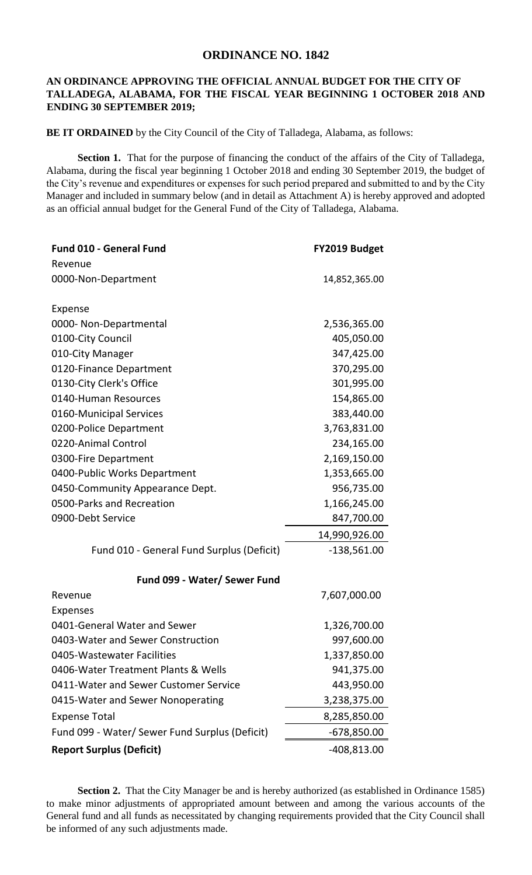## **ORDINANCE NO. 1842**

## **AN ORDINANCE APPROVING THE OFFICIAL ANNUAL BUDGET FOR THE CITY OF TALLADEGA, ALABAMA, FOR THE FISCAL YEAR BEGINNING 1 OCTOBER 2018 AND ENDING 30 SEPTEMBER 2019;**

**BE IT ORDAINED** by the City Council of the City of Talladega, Alabama, as follows:

**Section 1.** That for the purpose of financing the conduct of the affairs of the City of Talladega, Alabama, during the fiscal year beginning 1 October 2018 and ending 30 September 2019, the budget of the City's revenue and expenditures or expenses for such period prepared and submitted to and by the City Manager and included in summary below (and in detail as Attachment A) is hereby approved and adopted as an official annual budget for the General Fund of the City of Talladega, Alabama.

| Fund 010 - General Fund                        | FY2019 Budget |
|------------------------------------------------|---------------|
| Revenue                                        |               |
| 0000-Non-Department                            | 14,852,365.00 |
| Expense                                        |               |
| 0000- Non-Departmental                         | 2,536,365.00  |
| 0100-City Council                              | 405,050.00    |
| 010-City Manager                               | 347,425.00    |
| 0120-Finance Department                        | 370,295.00    |
| 0130-City Clerk's Office                       | 301,995.00    |
| 0140-Human Resources                           | 154,865.00    |
| 0160-Municipal Services                        | 383,440.00    |
| 0200-Police Department                         | 3,763,831.00  |
| 0220-Animal Control                            | 234,165.00    |
| 0300-Fire Department                           | 2,169,150.00  |
| 0400-Public Works Department                   | 1,353,665.00  |
| 0450-Community Appearance Dept.                | 956,735.00    |
| 0500-Parks and Recreation                      | 1,166,245.00  |
| 0900-Debt Service                              | 847,700.00    |
|                                                | 14,990,926.00 |
| Fund 010 - General Fund Surplus (Deficit)      | $-138,561.00$ |
| Fund 099 - Water/ Sewer Fund                   |               |
| Revenue                                        | 7,607,000.00  |
| <b>Expenses</b>                                |               |
| 0401-General Water and Sewer                   | 1,326,700.00  |
| 0403-Water and Sewer Construction              | 997,600.00    |
| 0405-Wastewater Facilities                     | 1,337,850.00  |
| 0406-Water Treatment Plants & Wells            | 941,375.00    |
| 0411-Water and Sewer Customer Service          | 443,950.00    |
| 0415-Water and Sewer Nonoperating              | 3,238,375.00  |
| <b>Expense Total</b>                           | 8,285,850.00  |
| Fund 099 - Water/ Sewer Fund Surplus (Deficit) | -678,850.00   |
| <b>Report Surplus (Deficit)</b>                | $-408,813.00$ |

**Section 2.** That the City Manager be and is hereby authorized (as established in Ordinance 1585) to make minor adjustments of appropriated amount between and among the various accounts of the General fund and all funds as necessitated by changing requirements provided that the City Council shall be informed of any such adjustments made.